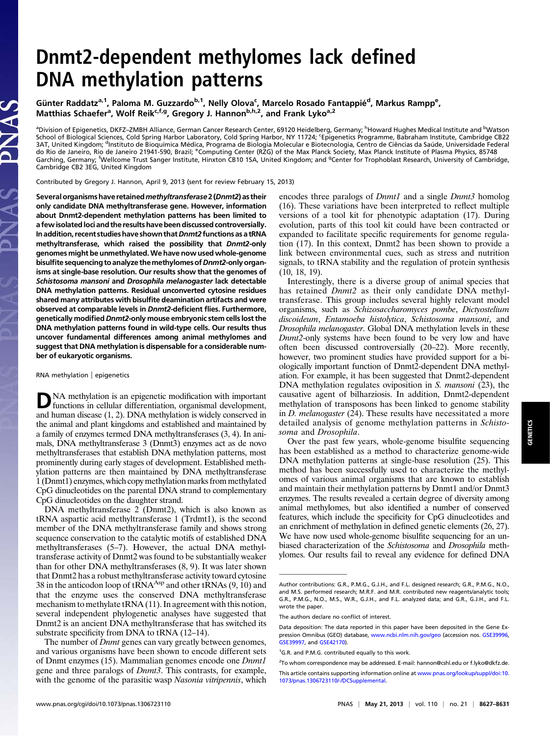## Dnmt2-dependent methylomes lack defined DNA methylation patterns

Günter Raddatz<sup>a,1</sup>, Paloma M. Guzzardo<sup>b,1</sup>, Nelly Olova<sup>c</sup>, Marcelo Rosado Fantappié<sup>d</sup>, Markus Rampp<sup>e</sup>, Matthias Schaefer<sup>a</sup>, Wolf Reik<sup>c,f,g</sup>, Gregory J. Hannon<sup>b,h,2</sup>, and Frank Lyko<sup>a,2</sup>

<sup>a</sup>Division of Epigenetics, DKFZ–ZMBH Alliance, German Cancer Research Center, 69120 Heidelberg, Germany; <sup>h</sup>Howard Hughes Medical Institute and <sup>b</sup>Watson School of Biological Sciences, Cold Spring Harbor Laboratory, Cold Spring Harbor, NY 11724; <sup>c</sup> Epigenetics Programme, Babraham Institute, Cambridge CB22 3AT, United Kingdom; <sup>d</sup>Instituto de Bioquímica Médica, Programa de Biologia Molecular e Biotecnologia, Centro de Ciências da Saúde, Universidade Federal do Rio de Janeiro, Rio de Janeiro 21941-590, Brazil; <sup>e</sup>Computing Center (RZG) of the Max Planck Society, Max Planck Institute of Plasma Physics, 85748 Garching, Germany; <sup>f</sup>Wellcome Trust Sanger Institute, Hinxton CB10 1SA, United Kingdom; and <sup>g</sup>Center for Trophoblast Research, University of Cambridge,<br>Cambridge CB2 3EG, United Kingdom

Contributed by Gregory J. Hannon, April 9, 2013 (sent for review February 15, 2013)

Several organisms have retained methyltransferase 2 (Dnmt2) as their only candidate DNA methyltransferase gene. However, information about Dnmt2-dependent methylation patterns has been limited to a few isolated loci and the results have been discussed controversially. In addition, recent studies have shown that Dnmt2 functions as a tRNA methyltransferase, which raised the possibility that Dnmt2-only genomes might be unmethylated. We have now used whole-genome bisulfite sequencing to analyze the methylomes of Dnmt2-only organisms at single-base resolution. Our results show that the genomes of Schistosoma mansoni and Drosophila melanogaster lack detectable DNA methylation patterns. Residual unconverted cytosine residues shared many attributes with bisulfite deamination artifacts and were observed at comparable levels in Dnmt2-deficient flies. Furthermore, genetically modified Dnmt2-only mouse embryonic stem cells lost the DNA methylation patterns found in wild-type cells. Our results thus uncover fundamental differences among animal methylomes and suggest that DNA methylation is dispensable for a considerable number of eukaryotic organisms.

RNA methylation | epigenetics

PNAS

DNA methylation is an epigenetic modification with important functions in cellular differentiation, organismal development, and human disease (1, 2). DNA methylation is widely conserved in the animal and plant kingdoms and established and maintained by a family of enzymes termed DNA methyltransferases (3, 4). In animals, DNA methyltransferase 3 (Dnmt3) enzymes act as de novo methyltransferases that establish DNA methylation patterns, most prominently during early stages of development. Established methylation patterns are then maintained by DNA methyltransferase 1 (Dnmt1) enzymes, which copy methylation marks from methylated CpG dinucleotides on the parental DNA strand to complementary CpG dinucleotides on the daughter strand.

DNA methyltransferase 2 (Dnmt2), which is also known as tRNA aspartic acid methyltransferase 1 (Trdmt1), is the second member of the DNA methyltransferase family and shows strong sequence conservation to the catalytic motifs of established DNA methyltransferases (5–7). However, the actual DNA methyltransferase activity of Dnmt2 was found to be substantially weaker than for other DNA methyltransferases (8, 9). It was later shown that Dnmt2 has a robust methyltransferase activity toward cytosine 38 in the anticodon loop of tRNA<sup>Asp</sup> and other tRNAs  $(9, 10)$  and that the enzyme uses the conserved DNA methyltransferase mechanism to methylate tRNA (11). In agreement with this notion, several independent phylogenetic analyses have suggested that Dnmt2 is an ancient DNA methyltransferase that has switched its substrate specificity from DNA to tRNA (12–14).

The number of *Dnmt* genes can vary greatly between genomes, and various organisms have been shown to encode different sets of Dnmt enzymes (15). Mammalian genomes encode one Dnmt1 gene and three paralogs of Dnmt3. This contrasts, for example, with the genome of the parasitic wasp Nasonia vitripennis, which encodes three paralogs of *Dnmt1* and a single *Dnmt3* homolog (16). These variations have been interpreted to reflect multiple versions of a tool kit for phenotypic adaptation (17). During evolution, parts of this tool kit could have been contracted or expanded to facilitate specific requirements for genome regulation (17). In this context, Dnmt2 has been shown to provide a link between environmental cues, such as stress and nutrition signals, to tRNA stability and the regulation of protein synthesis (10, 18, 19).

Interestingly, there is a diverse group of animal species that has retained *Dnmt2* as their only candidate DNA methyltransferase. This group includes several highly relevant model organisms, such as Schizosaccharomyces pombe, Dictyostelium discoideum, Entamoeba histolytica, Schistosoma mansoni, and Drosophila melanogaster. Global DNA methylation levels in these Dnmt2-only systems have been found to be very low and have often been discussed controversially (20–22). More recently, however, two prominent studies have provided support for a biologically important function of Dnmt2-dependent DNA methylation. For example, it has been suggested that Dnmt2-dependent DNA methylation regulates oviposition in S. *mansoni* (23), the causative agent of bilharziosis. In addition, Dnmt2-dependent methylation of transposons has been linked to genome stability in D. melanogaster (24). These results have necessitated a more detailed analysis of genome methylation patterns in Schistosoma and Drosophila.

Over the past few years, whole-genome bisulfite sequencing has been established as a method to characterize genome-wide DNA methylation patterns at single-base resolution (25). This method has been successfully used to characterize the methylomes of various animal organisms that are known to establish and maintain their methylation patterns by Dnmt1 and/or Dnmt3 enzymes. The results revealed a certain degree of diversity among animal methylomes, but also identified a number of conserved features, which include the specificity for CpG dinucleotides and an enrichment of methylation in defined genetic elements (26, 27). We have now used whole-genome bisulfite sequencing for an unbiased characterization of the Schistosoma and Drosophila methylomes. Our results fail to reveal any evidence for defined DNA

Author contributions: G.R., P.M.G., G.J.H., and F.L. designed research; G.R., P.M.G., N.O., and M.S. performed research; M.R.F. and M.R. contributed new reagents/analytic tools; G.R., P.M.G., N.O., M.S., W.R., G.J.H., and F.L. analyzed data; and G.R., G.J.H., and F.L. wrote the paper.

The authors declare no conflict of interest.

Data deposition: The data reported in this paper have been deposited in the Gene Expression Omnibus (GEO) database, [www.ncbi.nlm.nih.gov/geo](http://www.ncbi.nlm.nih.gov/geo) (accession nos. [GSE39996](http://www.ncbi.nlm.nih.gov/geo/query/acc.cgi?acc=GSE39996), [GSE39997,](http://www.ncbi.nlm.nih.gov/geo/query/acc.cgi?acc=GSE39997) and [GSE42170](http://www.ncbi.nlm.nih.gov/geo/query/acc.cgi?acc=GSE42170)).

<sup>&</sup>lt;sup>1</sup>G.R. and P.M.G. contributed equally to this work.

<sup>&</sup>lt;sup>2</sup>To whom correspondence may be addressed. E-mail: [hannon@cshl.edu](mailto:hannon@cshl.edu) or [f.lyko@dkfz.de](mailto:f.lyko@dkfz.de).

This article contains supporting information online at [www.pnas.org/lookup/suppl/doi:10.](http://www.pnas.org/lookup/suppl/doi:10.1073/pnas.1306723110/-/DCSupplemental) [1073/pnas.1306723110/-/DCSupplemental](http://www.pnas.org/lookup/suppl/doi:10.1073/pnas.1306723110/-/DCSupplemental).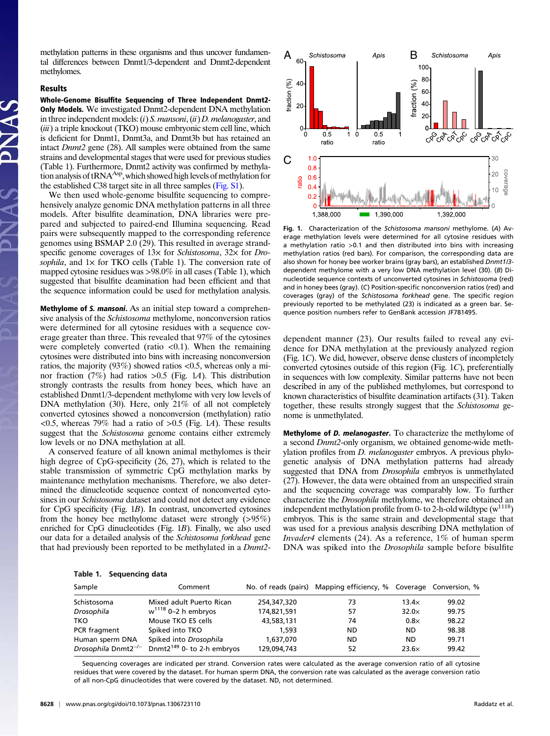methylation patterns in these organisms and thus uncover fundamental differences between Dnmt1/3-dependent and Dnmt2-dependent methylomes.

## Results

Whole-Genome Bisulfite Sequencing of Three Independent Dnmt2- **Only Models.** We investigated Dnmt2-dependent DNA methylation in three independent models:  $(i)$  S. *mansoni*,  $(ii)$  D. *melanogaster*, and (*iii*) a triple knockout (TKO) mouse embryonic stem cell line, which is deficient for Dnmt1, Dnmt3a, and Dnmt3b but has retained an intact Dnmt2 gene (28). All samples were obtained from the same strains and developmental stages that were used for previous studies (Table 1). Furthermore, Dnmt2 activity was confirmed by methylation analysis of tRNA<sup>Asp</sup>, which showed high levels of methylation for the established C38 target site in all three samples [\(Fig. S1](http://www.pnas.org/lookup/suppl/doi:10.1073/pnas.1306723110/-/DCSupplemental/pnas.201306723SI.pdf?targetid=nameddest=SF1)).

We then used whole-genome bisulfite sequencing to comprehensively analyze genomic DNA methylation patterns in all three models. After bisulfite deamination, DNA libraries were prepared and subjected to paired-end Illumina sequencing. Read pairs were subsequently mapped to the corresponding reference genomes using BSMAP 2.0 (29). This resulted in average strandspecific genome coverages of  $13\times$  for Schistosoma,  $32\times$  for Drosophila, and  $1 \times$  for TKO cells (Table 1). The conversion rate of mapped cytosine residues was >98.0% in all cases (Table 1), which suggested that bisulfite deamination had been efficient and that the sequence information could be used for methylation analysis.

Methylome of S. mansoni. As an initial step toward a comprehensive analysis of the Schistosoma methylome, nonconversion ratios were determined for all cytosine residues with a sequence coverage greater than three. This revealed that 97% of the cytosines were completely converted (ratio  $\langle 0.1 \rangle$ ). When the remaining cytosines were distributed into bins with increasing nonconversion ratios, the majority (93%) showed ratios <0.5, whereas only a minor fraction (7%) had ratios >0.5 (Fig. 1A). This distribution strongly contrasts the results from honey bees, which have an established Dnmt1/3-dependent methylome with very low levels of DNA methylation (30). Here, only 21% of all not completely converted cytosines showed a nonconversion (methylation) ratio  $\langle 0.5$ , whereas 79% had a ratio of  $> 0.5$  (Fig. 1A). These results suggest that the *Schistosoma* genome contains either extremely low levels or no DNA methylation at all.

A conserved feature of all known animal methylomes is their high degree of CpG-specificity (26, 27), which is related to the stable transmission of symmetric CpG methylation marks by maintenance methylation mechanisms. Therefore, we also determined the dinucleotide sequence context of nonconverted cytosines in our Schistosoma dataset and could not detect any evidence for CpG specificity (Fig. 1B). In contrast, unconverted cytosines from the honey bee methylome dataset were strongly (>95%) enriched for CpG dinucleotides (Fig. 1B). Finally, we also used our data for a detailed analysis of the Schistosoma forkhead gene that had previously been reported to be methylated in a Dnmt2-



Fig. 1. Characterization of the Schistosoma mansoni methylome. (A) Average methylation levels were determined for all cytosine residues with a methylation ratio >0.1 and then distributed into bins with increasing methylation ratios (red bars). For comparison, the corresponding data are also shown for honey bee worker brains (gray bars), an established Dnmt1/3 dependent methylome with a very low DNA methylation level (30). (B) Dinucleotide sequence contexts of unconverted cytosines in Schistosoma (red) and in honey bees (gray). (C) Position-specific nonconversion ratios (red) and coverages (gray) of the Schistosoma forkhead gene. The specific region previously reported to be methylated (23) is indicated as a green bar. Sequence position numbers refer to GenBank accession JF781495.

dependent manner (23). Our results failed to reveal any evidence for DNA methylation at the previously analyzed region (Fig. 1C). We did, however, observe dense clusters of incompletely converted cytosines outside of this region (Fig. 1C), preferentially in sequences with low complexity. Similar patterns have not been described in any of the published methylomes, but correspond to known characteristics of bisulfite deamination artifacts (31). Taken together, these results strongly suggest that the Schistosoma genome is unmethylated.

Methylome of *D. melanogaster*. To characterize the methylome of a second Dnmt2-only organism, we obtained genome-wide methylation profiles from *D. melanogaster* embryos. A previous phylogenetic analysis of DNA methylation patterns had already suggested that DNA from Drosophila embryos is unmethylated (27). However, the data were obtained from an unspecified strain and the sequencing coverage was comparably low. To further characterize the Drosophila methylome, we therefore obtained an independent methylation profile from 0- to 2-h-old wildtype  $(w^{1118})$ embryos. This is the same strain and developmental stage that was used for a previous analysis describing DNA methylation of Invader4 elements (24). As a reference, 1% of human sperm DNA was spiked into the *Drosophila* sample before bisulfite

| Sample                          | Comment                                |             | No. of reads (pairs) Mapping efficiency, % Coverage Conversion, % |              |       |
|---------------------------------|----------------------------------------|-------------|-------------------------------------------------------------------|--------------|-------|
| Schistosoma                     | Mixed adult Puerto Rican               | 254,347,320 | 73                                                                | $13.4\times$ | 99.02 |
| Drosophila                      | $w^{1118}$ 0-2 h embryos               | 174,821,591 | 57                                                                | $32.0\times$ | 99.75 |
| TKO                             | Mouse TKO ES cells                     | 43,583,131  | 74                                                                | $0.8\times$  | 98.22 |
| PCR fragment                    | Spiked into TKO                        | 1.593       | ND                                                                | ND.          | 98.38 |
| Human sperm DNA                 | Spiked into Drosophila                 | 1,637,070   | ND                                                                | <b>ND</b>    | 99.71 |
| Drosophila Dnmt2 <sup>-/-</sup> | Dnmt2 <sup>149</sup> 0- to 2-h embryos | 129,094,743 | 52                                                                | $23.6\times$ | 99.42 |

Sequencing coverages are indicated per strand. Conversion rates were calculated as the average conversion ratio of all cytosine residues that were covered by the dataset. For human sperm DNA, the conversion rate was calculated as the average conversion ratio of all non-CpG dinucleotides that were covered by the dataset. ND, not determined.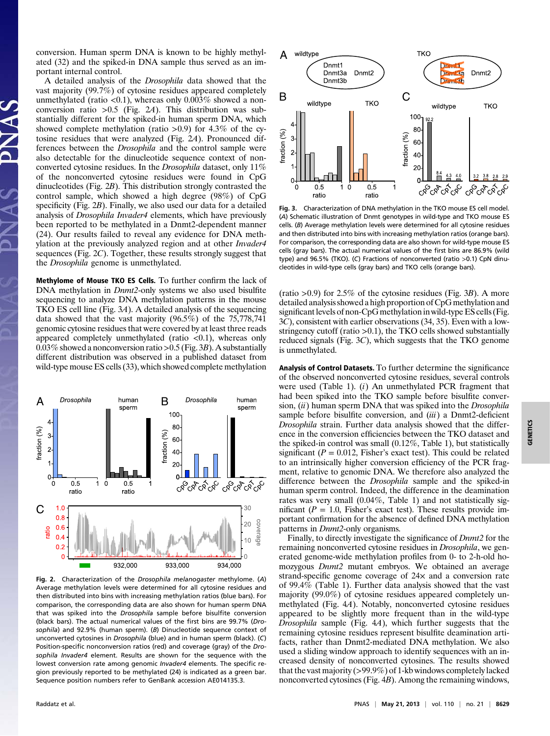conversion. Human sperm DNA is known to be highly methylated (32) and the spiked-in DNA sample thus served as an important internal control.

A detailed analysis of the Drosophila data showed that the vast majority (99.7%) of cytosine residues appeared completely unmethylated (ratio  $\langle 0.1 \rangle$ , whereas only 0.003% showed a nonconversion ratio  $>0.5$  (Fig. 24). This distribution was substantially different for the spiked-in human sperm DNA, which showed complete methylation (ratio  $>0.9$ ) for 4.3% of the cytosine residues that were analyzed (Fig. 2A). Pronounced differences between the Drosophila and the control sample were also detectable for the dinucleotide sequence context of nonconverted cytosine residues. In the Drosophila dataset, only 11% of the nonconverted cytosine residues were found in CpG dinucleotides (Fig. 2B). This distribution strongly contrasted the control sample, which showed a high degree (98%) of CpG specificity (Fig. 2B). Finally, we also used our data for a detailed analysis of *Drosophila Invader4* elements, which have previously been reported to be methylated in a Dnmt2-dependent manner (24). Our results failed to reveal any evidence for DNA methylation at the previously analyzed region and at other Invader4 sequences (Fig. 2C). Together, these results strongly suggest that the Drosophila genome is unmethylated.

Methylome of Mouse TKO ES Cells. To further confirm the lack of DNA methylation in *Dnmt2*-only systems we also used bisulfite sequencing to analyze DNA methylation patterns in the mouse TKO ES cell line (Fig. 3A). A detailed analysis of the sequencing data showed that the vast majority (96.5%) of the 75,778,741 genomic cytosine residues that were covered by at least three reads appeared completely unmethylated (ratio  $< 0.1$ ), whereas only 0.03% showed a nonconversion ratio > 0.5 (Fig. 3B). A substantially different distribution was observed in a published dataset from wild-type mouse ES cells (33), which showed complete methylation



Fig. 2. Characterization of the Drosophila melanogaster methylome. (A) Average methylation levels were determined for all cytosine residues and then distributed into bins with increasing methylation ratios (blue bars). For comparison, the corresponding data are also shown for human sperm DNA that was spiked into the Drosophila sample before bisulfite conversion (black bars). The actual numerical values of the first bins are 99.7% (Drosophila) and 92.9% (human sperm). (B) Dinucleotide sequence context of unconverted cytosines in Drosophila (blue) and in human sperm (black). (C) Position-specific nonconversion ratios (red) and coverage (gray) of the Drosophila Invader4 element. Results are shown for the sequence with the lowest conversion rate among genomic Invader4 elements. The specific region previously reported to be methylated (24) is indicated as a green bar. Sequence position numbers refer to GenBank accession AE014135.3.



Fig. 3. Characterization of DNA methylation in the TKO mouse ES cell model. (A) Schematic illustration of Dnmt genotypes in wild-type and TKO mouse ES cells. (B) Average methylation levels were determined for all cytosine residues and then distributed into bins with increasing methylation ratios (orange bars). For comparison, the corresponding data are also shown for wild-type mouse ES cells (gray bars). The actual numerical values of the first bins are 86.9% (wild type) and 96.5% (TKO). (C) Fractions of nonconverted (ratio >0.1) CpN dinucleotides in wild-type cells (gray bars) and TKO cells (orange bars).

(ratio  $>0.9$ ) for 2.5% of the cytosine residues (Fig. 3B). A more detailed analysis showed a high proportion of CpG methylation and significant levels of non-CpG methylation in wild-type ES cells (Fig. 3C), consistent with earlier observations (34, 35). Even with a lowstringency cutoff (ratio  $>0.1$ ), the TKO cells showed substantially reduced signals (Fig. 3C), which suggests that the TKO genome is unmethylated.

Analysis of Control Datasets. To further determine the significance of the observed nonconverted cytosine residues, several controls were used (Table 1).  $(i)$  An unmethylated PCR fragment that had been spiked into the TKO sample before bisulfite conversion,  $(ii)$  human sperm DNA that was spiked into the *Drosophila* sample before bisulfite conversion, and (iii) a Dnmt2-deficient Drosophila strain. Further data analysis showed that the difference in the conversion efficiencies between the TKO dataset and the spiked-in control was small (0.12%, Table 1), but statistically significant ( $P = 0.012$ , Fisher's exact test). This could be related to an intrinsically higher conversion efficiency of the PCR fragment, relative to genomic DNA. We therefore also analyzed the difference between the Drosophila sample and the spiked-in human sperm control. Indeed, the difference in the deamination rates was very small (0.04%, Table 1) and not statistically significant ( $P = 1.0$ , Fisher's exact test). These results provide important confirmation for the absence of defined DNA methylation patterns in *Dnmt2*-only organisms.

Finally, to directly investigate the significance of Dnmt2 for the remaining nonconverted cytosine residues in Drosophila, we generated genome-wide methylation profiles from 0- to 2-h-old homozygous Dnmt2 mutant embryos. We obtained an average strand-specific genome coverage of  $24x$  and a conversion rate of 99.4% (Table 1). Further data analysis showed that the vast majority (99.0%) of cytosine residues appeared completely unmethylated (Fig. 4A). Notably, nonconverted cytosine residues appeared to be slightly more frequent than in the wild-type Drosophila sample (Fig. 4A), which further suggests that the remaining cytosine residues represent bisulfite deamination artifacts, rather than Dnmt2-mediated DNA methylation. We also used a sliding window approach to identify sequences with an increased density of nonconverted cytosines. The results showed that the vast majority (>99.9%) of 1-kb windows completely lacked nonconverted cytosines (Fig. 4B). Among the remaining windows,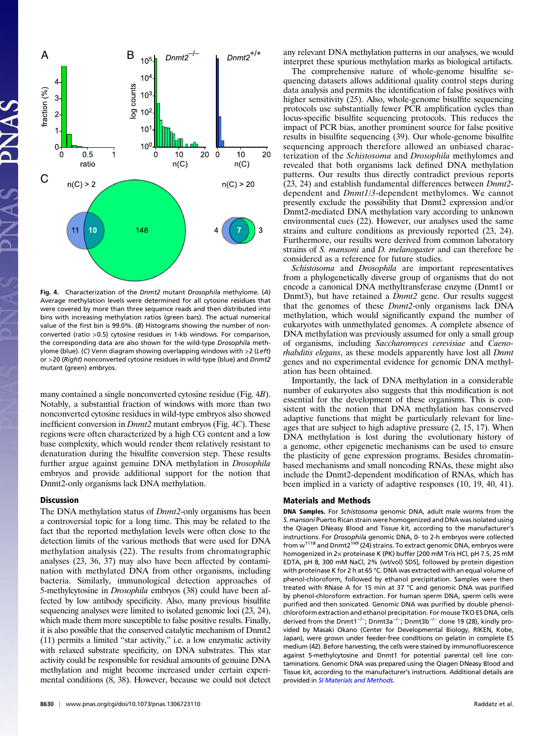

Fig. 4. Characterization of the Dnmt2 mutant Drosophila methylome. (A) Average methylation levels were determined for all cytosine residues that were covered by more than three sequence reads and then distributed into bins with increasing methylation ratios (green bars). The actual numerical value of the first bin is 99.0%. (B) Histograms showing the number of nonconverted (ratio >0.5) cytosine residues in 1-kb windows. For comparison, the corresponding data are also shown for the wild-type Drosophila methylome (blue). (C) Venn diagram showing overlapping windows with  $>2$  (Left) or >20 (Right) nonconverted cytosine residues in wild-type (blue) and Dnmt2 mutant (green) embryos.

many contained a single nonconverted cytosine residue (Fig. 4B). Notably, a substantial fraction of windows with more than two nonconverted cytosine residues in wild-type embryos also showed inefficient conversion in *Dnmt2* mutant embryos (Fig. 4C). These regions were often characterized by a high CG content and a low base complexity, which would render them relatively resistant to denaturation during the bisulfite conversion step. These results further argue against genuine DNA methylation in *Drosophila* embryos and provide additional support for the notion that Dnmt2-only organisms lack DNA methylation.

## Discussion

The DNA methylation status of *Dnmt2*-only organisms has been a controversial topic for a long time. This may be related to the fact that the reported methylation levels were often close to the detection limits of the various methods that were used for DNA methylation analysis (22). The results from chromatographic analyses (23, 36, 37) may also have been affected by contamination with methylated DNA from other organisms, including bacteria. Similarly, immunological detection approaches of 5-methylcytosine in *Drosophila* embryos (38) could have been affected by low antibody specificity. Also, many previous bisulfite sequencing analyses were limited to isolated genomic loci (23, 24), which made them more susceptible to false positive results. Finally, it is also possible that the conserved catalytic mechanism of Dnmt2 (11) permits a limited "star activity," i.e. a low enzymatic activity with relaxed substrate specificity, on DNA substrates. This star activity could be responsible for residual amounts of genuine DNA methylation and might become increased under certain experimental conditions (8, 38). However, because we could not detect any relevant DNA methylation patterns in our analyses, we would interpret these spurious methylation marks as biological artifacts.

The comprehensive nature of whole-genome bisulfite sequencing datasets allows additional quality control steps during data analysis and permits the identification of false positives with higher sensitivity (25). Also, whole-genome bisulfite sequencing protocols use substantially fewer PCR amplification cycles than locus-specific bisulfite sequencing protocols. This reduces the impact of PCR bias, another prominent source for false positive results in bisulfite sequencing (39). Our whole-genome bisulfite sequencing approach therefore allowed an unbiased characterization of the Schistosoma and Drosophila methylomes and revealed that both organisms lack defined DNA methylation patterns. Our results thus directly contradict previous reports (23, 24) and establish fundamental differences between Dnmt2 dependent and Dnmt1/3-dependent methylomes. We cannot presently exclude the possibility that Dnmt2 expression and/or Dnmt2-mediated DNA methylation vary according to unknown environmental cues (22). However, our analyses used the same strains and culture conditions as previously reported (23, 24). Furthermore, our results were derived from common laboratory strains of S. mansoni and D. melanogaster and can therefore be considered as a reference for future studies.

Schistosoma and Drosophila are important representatives from a phylogenetically diverse group of organisms that do not encode a canonical DNA methyltransferase enzyme (Dnmt1 or Dnmt3), but have retained a *Dnmt2* gene. Our results suggest that the genomes of these Dnmt2-only organisms lack DNA methylation, which would significantly expand the number of eukaryotes with unmethylated genomes. A complete absence of DNA methylation was previously assumed for only a small group of organisms, including Saccharomyces cerevisiae and Caenorhabditis elegans, as these models apparently have lost all Dnmt genes and no experimental evidence for genomic DNA methylation has been obtained.

Importantly, the lack of DNA methylation in a considerable number of eukaryotes also suggests that this modification is not essential for the development of these organisms. This is consistent with the notion that DNA methylation has conserved adaptive functions that might be particularly relevant for lineages that are subject to high adaptive pressure (2, 15, 17). When DNA methylation is lost during the evolutionary history of a genome, other epigenetic mechanisms can be used to ensure the plasticity of gene expression programs. Besides chromatinbased mechanisms and small noncoding RNAs, these might also include the Dnmt2-dependent modification of RNAs, which has been implied in a variety of adaptive responses (10, 19, 40, 41).

## Materials and Methods

DNA Samples. For Schistosoma genomic DNA, adult male worms from the S. mansoni Puerto Rican strain were homogenized and DNA was isolated using the Qiagen DNeasy Blood and Tissue kit, according to the manufacturer's instructions. For Drosophila genomic DNA, 0- to 2-h embryos were collected from w<sup>1118</sup> and Dnmt2<sup>149</sup> (24) strains. To extract genomic DNA, embryos were homogenized in 2× proteinase K (PK) buffer [200 mM Tris·HCl, pH 7.5, 25 mM EDTA, pH 8, 300 mM NaCl, 2% (wt/vol) SDS], followed by protein digestion with proteinase K for 2 h at 65 °C. DNA was extracted with an equal volume of phenol-chloroform, followed by ethanol precipitation. Samples were then treated with RNase A for 15 min at 37 °C and genomic DNA was purified by phenol-chloroform extraction. For human sperm DNA, sperm cells were purified and then sonicated. Genomic DNA was purified by double phenolchloroform extraction and ethanol precipitation. For mouse TKO ES DNA, cells derived from the Dnmt1−/−; Dnmt3a−/−; Dnmt3b−/<sup>−</sup> clone 19 (28), kindly provided by Masaki Okano (Center for Developmental Biology, RIKEN, Kobe, Japan), were grown under feeder-free conditions on gelatin in complete ES medium (42). Before harvesting, the cells were stained by immunofluorescence against 5-methylcytosine and Dnmt1 for potential parental cell line contaminations. Genomic DNA was prepared using the Qiagen DNeasy Blood and Tissue kit, according to the manufacturer's instructions. Additional details are provided in [SI Materials and Methods](http://www.pnas.org/lookup/suppl/doi:10.1073/pnas.1306723110/-/DCSupplemental/pnas.201306723SI.pdf?targetid=nameddest=STXT).